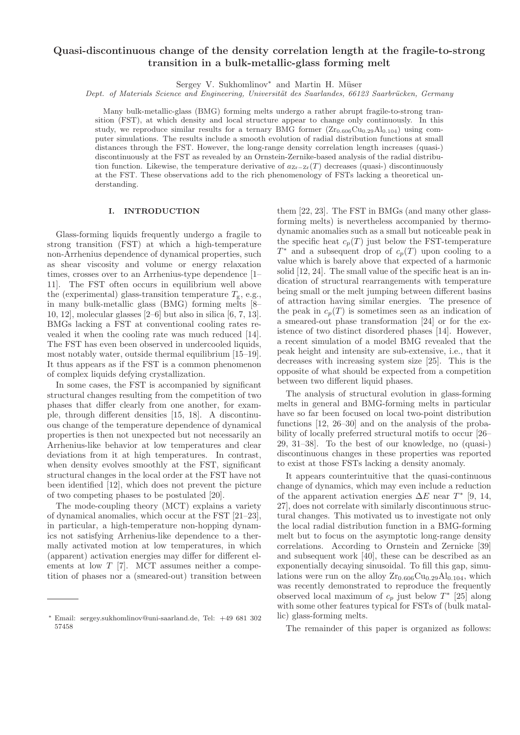# Quasi-discontinuous change of the density correlation length at the fragile-to-strong transition in a bulk-metallic-glass forming melt

Sergey V. Sukhomlinov<sup>\*</sup> and Martin H. Müser

Dept. of Materials Science and Engineering, Universität des Saarlandes, 66123 Saarbrücken, Germany

Many bulk-metallic-glass (BMG) forming melts undergo a rather abrupt fragile-to-strong transition (FST), at which density and local structure appear to change only continuously. In this study, we reproduce similar results for a ternary BMG former  $(Z_{r0.606}Cu_{0.29}Al_{0.104})$  using computer simulations. The results include a smooth evolution of radial distribution functions at small distances through the FST. However, the long-range density correlation length increases (quasi-) discontinuously at the FST as revealed by an Ornstein-Zernike-based analysis of the radial distribution function. Likewise, the temperature derivative of  $a_{Zr-Zr}(T)$  decreases (quasi-) discontinuously at the FST. These observations add to the rich phenomenology of FSTs lacking a theoretical understanding.

### I. INTRODUCTION

Glass-forming liquids frequently undergo a fragile to strong transition (FST) at which a high-temperature non-Arrhenius dependence of dynamical properties, such as shear viscosity and volume or energy relaxation times, crosses over to an Arrhenius-type dependence [1– 11]. The FST often occurs in equilibrium well above the (experimental) glass-transition temperature  $T_{\rm g}$ , e.g., in many bulk-metallic glass (BMG) forming melts [8– 10, 12], molecular glasses [2–6] but also in silica [6, 7, 13]. BMGs lacking a FST at conventional cooling rates revealed it when the cooling rate was much reduced [14]. The FST has even been observed in undercooled liquids, most notably water, outside thermal equilibrium [15–19]. It thus appears as if the FST is a common phenomenon of complex liquids defying crystallization.

In some cases, the FST is accompanied by significant structural changes resulting from the competition of two phases that differ clearly from one another, for example, through different densities [15, 18]. A discontinuous change of the temperature dependence of dynamical properties is then not unexpected but not necessarily an Arrhenius-like behavior at low temperatures and clear deviations from it at high temperatures. In contrast, when density evolves smoothly at the FST, significant structural changes in the local order at the FST have not been identified [12], which does not prevent the picture of two competing phases to be postulated [20].

The mode-coupling theory (MCT) explains a variety of dynamical anomalies, which occur at the FST [21–23], in particular, a high-temperature non-hopping dynamics not satisfying Arrhenius-like dependence to a thermally activated motion at low temperatures, in which (apparent) activation energies may differ for different elements at low  $T$  [7]. MCT assumes neither a competition of phases nor a (smeared-out) transition between them [22, 23]. The FST in BMGs (and many other glassforming melts) is nevertheless accompanied by thermodynamic anomalies such as a small but noticeable peak in the specific heat  $c_p(T)$  just below the FST-temperature  $T^*$  and a subsequent drop of  $c_p(T)$  upon cooling to a value which is barely above that expected of a harmonic solid [12, 24]. The small value of the specific heat is an indication of structural rearrangements with temperature being small or the melt jumping between different basins of attraction having similar energies. The presence of the peak in  $c_p(T)$  is sometimes seen as an indication of a smeared-out phase transformation [24] or for the existence of two distinct disordered phases [14]. However, a recent simulation of a model BMG revealed that the peak height and intensity are sub-extensive, i.e., that it decreases with increasing system size [25]. This is the opposite of what should be expected from a competition between two different liquid phases.

The analysis of structural evolution in glass-forming melts in general and BMG-forming melts in particular have so far been focused on local two-point distribution functions [12, 26–30] and on the analysis of the probability of locally preferred structural motifs to occur [26– 29, 31–38]. To the best of our knowledge, no (quasi-) discontinuous changes in these properties was reported to exist at those FSTs lacking a density anomaly.

It appears counterintuitive that the quasi-continuous change of dynamics, which may even include a reduction of the apparent activation energies  $\Delta E$  near  $T^*$  [9, 14, 27], does not correlate with similarly discontinuous structural changes. This motivated us to investigate not only the local radial distribution function in a BMG-forming melt but to focus on the asymptotic long-range density correlations. According to Ornstein and Zernicke [39] and subsequent work [40], these can be described as an exponentially decaying sinusoidal. To fill this gap, simulations were run on the alloy  $Zr_{0.606}Cu_{0.29}Al_{0.104}$ , which was recently demonstrated to reproduce the frequently observed local maximum of  $c_p$  just below  $T^*$  [25] along with some other features typical for FSTs of (bulk matallic) glass-forming melts.

The remainder of this paper is organized as follows:

<sup>∗</sup> Email: sergey.sukhomlinov@uni-saarland.de, Tel: +49 681 302 57458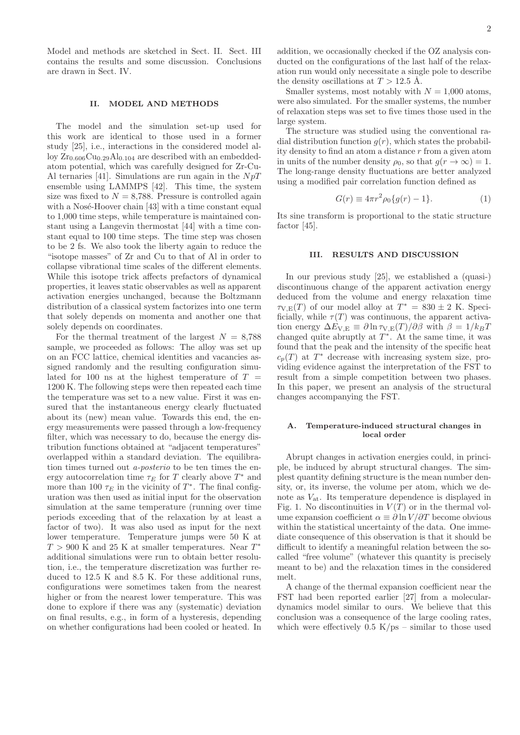Model and methods are sketched in Sect. II. Sect. III contains the results and some discussion. Conclusions are drawn in Sect. IV.

# II. MODEL AND METHODS

The model and the simulation set-up used for this work are identical to those used in a former study [25], i.e., interactions in the considered model alloy  $Zr_{0.606}Cu_{0.29}Al_{0.104}$  are described with an embeddedatom potential, which was carefully designed for Zr-Cu-Al ternaries [41]. Simulations are run again in the  $NpT$ ensemble using LAMMPS [42]. This time, the system size was fixed to  $N = 8,788$ . Pressure is controlled again with a Nosé-Hoover chain  $[43]$  with a time constant equal to 1,000 time steps, while temperature is maintained constant using a Langevin thermostat [44] with a time constant equal to 100 time steps. The time step was chosen to be 2 fs. We also took the liberty again to reduce the "isotope masses" of Zr and Cu to that of Al in order to collapse vibrational time scales of the different elements. While this isotope trick affects prefactors of dynamical properties, it leaves static observables as well as apparent activation energies unchanged, because the Boltzmann distribution of a classical system factorizes into one term that solely depends on momenta and another one that solely depends on coordinates.

For the thermal treatment of the largest  $N = 8,788$ sample, we proceeded as follows: The alloy was set up on an FCC lattice, chemical identities and vacancies assigned randomly and the resulting configuration simulated for 100 ns at the highest temperature of  $T =$ 1200 K. The following steps were then repeated each time the temperature was set to a new value. First it was ensured that the instantaneous energy clearly fluctuated about its (new) mean value. Towards this end, the energy measurements were passed through a low-frequency filter, which was necessary to do, because the energy distribution functions obtained at "adjacent temperatures" overlapped within a standard deviation. The equilibration times turned out a-posterio to be ten times the energy autocorrelation time  $\tau_E$  for T clearly above  $T^*$  and more than 100  $\tau_E$  in the vicinity of  $T^*$ . The final configuration was then used as initial input for the observation simulation at the same temperature (running over time periods exceeding that of the relaxation by at least a factor of two). It was also used as input for the next lower temperature. Temperature jumps were 50 K at  $T > 900$  K and 25 K at smaller temperatures. Near  $T^*$ additional simulations were run to obtain better resolution, i.e., the temperature discretization was further reduced to 12.5 K and 8.5 K. For these additional runs, configurations were sometimes taken from the nearest higher or from the nearest lower temperature. This was done to explore if there was any (systematic) deviation on final results, e.g., in form of a hysteresis, depending on whether configurations had been cooled or heated. In addition, we occasionally checked if the OZ analysis conducted on the configurations of the last half of the relaxation run would only necessitate a single pole to describe the density oscillations at  $T > 12.5$  Å.

Smaller systems, most notably with  $N = 1,000$  atoms, were also simulated. For the smaller systems, the number of relaxation steps was set to five times those used in the large system.

The structure was studied using the conventional radial distribution function  $q(r)$ , which states the probability density to find an atom a distance  $r$  from a given atom in units of the number density  $\rho_0$ , so that  $g(r \to \infty) = 1$ . The long-range density fluctuations are better analyzed using a modified pair correlation function defined as

$$
G(r) \equiv 4\pi r^2 \rho_0 \{g(r) - 1\}.
$$
 (1)

Its sine transform is proportional to the static structure factor [45].

### III. RESULTS AND DISCUSSION

In our previous study [25], we established a (quasi-) discontinuous change of the apparent activation energy deduced from the volume and energy relaxation time  $\tau_{V,E}(T)$  of our model alloy at  $T^* = 830 \pm 2$  K. Specificially, while  $\tau(T)$  was continuous, the apparent activation energy  $\Delta E_{V,E} \equiv \partial \ln \tau_{V,E}(T)/\partial \beta$  with  $\beta = 1/k_B T$ changed quite abruptly at  $T^*$ . At the same time, it was found that the peak and the intensity of the specific heat  $c_p(T)$  at  $T^*$  decrease with increasing system size, providing evidence against the interpretation of the FST to result from a simple competition between two phases. In this paper, we present an analysis of the structural changes accompanying the FST.

# A. Temperature-induced structural changes in local order

Abrupt changes in activation energies could, in principle, be induced by abrupt structural changes. The simplest quantity defining structure is the mean number density, or, its inverse, the volume per atom, which we denote as  $V_{\text{at}}$ . Its temperature dependence is displayed in Fig. 1. No discontinuities in  $V(T)$  or in the thermal volume expansion coefficient  $\alpha \equiv \partial \ln V / \partial T$  become obvious within the statistical uncertainty of the data. One immediate consequence of this observation is that it should be difficult to identify a meaningful relation between the socalled "free volume" (whatever this quantity is precisely meant to be) and the relaxation times in the considered melt.

A change of the thermal expansion coefficient near the FST had been reported earlier [27] from a moleculardynamics model similar to ours. We believe that this conclusion was a consequence of the large cooling rates, which were effectively  $0.5 \text{ K}/\text{ps}$  – similar to those used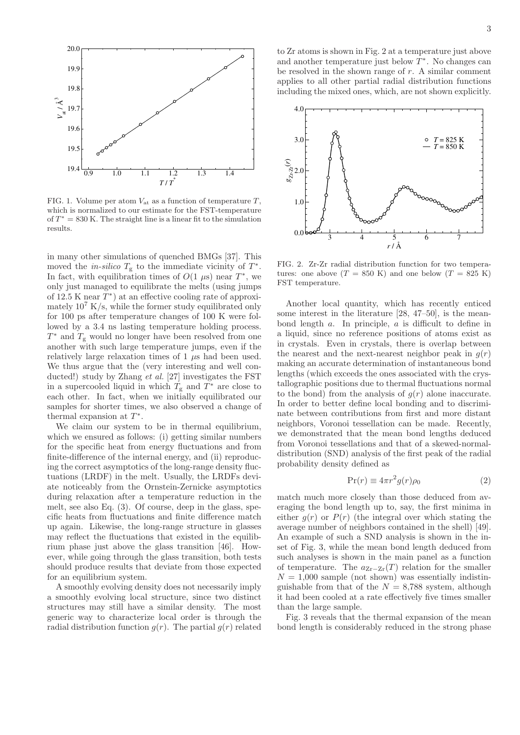

FIG. 1. Volume per atom  $V_{\text{at}}$  as a function of temperature  $T$ , which is normalized to our estimate for the FST-temperature of  $T^* = 830$  K. The straight line is a linear fit to the simulation results.

in many other simulations of quenched BMGs [37]. This moved the *in-silico*  $T_g$  to the immediate vicinity of  $T^*$ . In fact, with equilibration times of  $O(1 \mu s)$  near  $T^*$ , we only just managed to equilibrate the melts (using jumps of 12.5 K near  $\overline{T}^*$ ) at an effective cooling rate of approximately  $10^7$  K/s, while the former study equilibrated only for 100 ps after temperature changes of 100 K were followed by a 3.4 ns lasting temperature holding process.  $T^*$  and  $T_g$  would no longer have been resolved from one another with such large temperature jumps, even if the relatively large relaxation times of  $1 \mu s$  had been used. We thus argue that the (very interesting and well conducted!) study by Zhang et al. [27] investigates the FST in a supercooled liquid in which  $T_{g}$  and  $T^*$  are close to each other. In fact, when we initially equilibrated our samples for shorter times, we also observed a change of thermal expansion at  $T^*$ .

We claim our system to be in thermal equilibrium. which we ensured as follows: (i) getting similar numbers for the specific heat from energy fluctuations and from finite-difference of the internal energy, and (ii) reproducing the correct asymptotics of the long-range density fluctuations (LRDF) in the melt. Usually, the LRDFs deviate noticeably from the Ornstein-Zernicke asymptotics during relaxation after a temperature reduction in the melt, see also Eq. (3). Of course, deep in the glass, specific heats from fluctuations and finite difference match up again. Likewise, the long-range structure in glasses may reflect the fluctuations that existed in the equilibrium phase just above the glass transition [46]. However, while going through the glass transition, both tests should produce results that deviate from those expected for an equilibrium system.

A smoothly evolving density does not necessarily imply a smoothly evolving local structure, since two distinct structures may still have a similar density. The most generic way to characterize local order is through the radial distribution function  $q(r)$ . The partial  $q(r)$  related to Zr atoms is shown in Fig. 2 at a temperature just above and another temperature just below  $\overline{T}^*$ . No changes can be resolved in the shown range of  $r$ . A similar comment applies to all other partial radial distribution functions including the mixed ones, which, are not shown explicitly.



FIG. 2. Zr-Zr radial distribution function for two temperatures: one above  $(T = 850 \text{ K})$  and one below  $(T = 825 \text{ K})$ FST temperature.

Another local quantity, which has recently enticed some interest in the literature [28, 47–50], is the meanbond length a. In principle, a is difficult to define in a liquid, since no reference positions of atoms exist as in crystals. Even in crystals, there is overlap between the nearest and the next-nearest neighbor peak in  $g(r)$ making an accurate determination of instantaneous bond lengths (which exceeds the ones associated with the crystallographic positions due to thermal fluctuations normal to the bond) from the analysis of  $g(r)$  alone inaccurate. In order to better define local bonding and to discriminate between contributions from first and more distant neighbors, Voronoi tessellation can be made. Recently, we demonstrated that the mean bond lengths deduced from Voronoi tessellations and that of a skewed-normaldistribution (SND) analysis of the first peak of the radial probability density defined as

$$
\Pr(r) \equiv 4\pi r^2 g(r)\rho_0 \tag{2}
$$

match much more closely than those deduced from averaging the bond length up to, say, the first minima in either  $q(r)$  or  $P(r)$  (the integral over which stating the average number of neighbors contained in the shell) [49]. An example of such a SND analysis is shown in the inset of Fig. 3, while the mean bond length deduced from such analyses is shown in the main panel as a function of temperature. The  $a_{Zr-Zr}(T)$  relation for the smaller  $N = 1,000$  sample (not shown) was essentially indistinguishable from that of the  $N = 8,788$  system, although it had been cooled at a rate effectively five times smaller than the large sample.

Fig. 3 reveals that the thermal expansion of the mean bond length is considerably reduced in the strong phase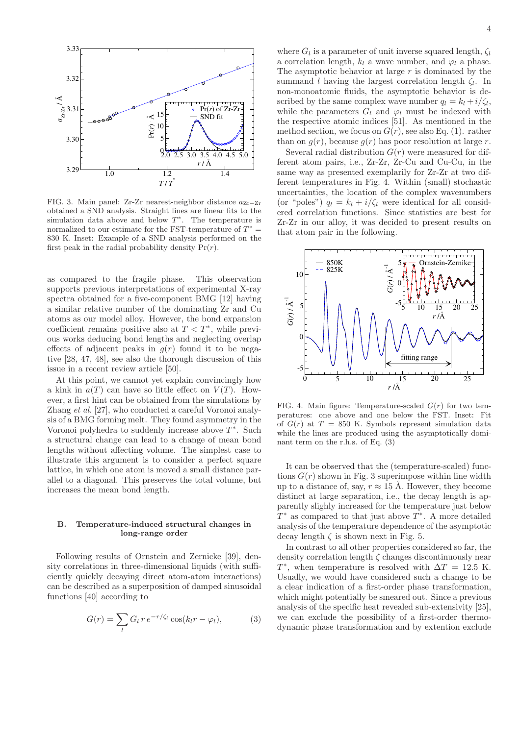

FIG. 3. Main panel: Zr-Zr nearest-neighbor distance aZr−Zr obtained a SND analysis. Straight lines are linear fits to the simulation data above and below  $T^*$ . The temperature is normalized to our estimate for the FST-temperature of  $T^* =$ 830 K. Inset: Example of a SND analysis performed on the first peak in the radial probability density  $Pr(r)$ .

as compared to the fragile phase. This observation supports previous interpretations of experimental X-ray spectra obtained for a five-component BMG [12] having a similar relative number of the dominating Zr and Cu atoms as our model alloy. However, the bond expansion coefficient remains positive also at  $T < T^*$ , while previous works deducing bond lengths and neglecting overlap effects of adjacent peaks in  $g(r)$  found it to be negative [28, 47, 48], see also the thorough discussion of this issue in a recent review article [50].

At this point, we cannot yet explain convincingly how a kink in  $a(T)$  can have so little effect on  $V(T)$ . However, a first hint can be obtained from the simulations by Zhang et al. [27], who conducted a careful Voronoi analysis of a BMG forming melt. They found asymmetry in the Voronoi polyhedra to suddenly increase above  $T^*$ . Such a structural change can lead to a change of mean bond lengths without affecting volume. The simplest case to illustrate this argument is to consider a perfect square lattice, in which one atom is moved a small distance parallel to a diagonal. This preserves the total volume, but increases the mean bond length.

#### B. Temperature-induced structural changes in long-range order

Following results of Ornstein and Zernicke [39], density correlations in three-dimensional liquids (with sufficiently quickly decaying direct atom-atom interactions) can be described as a superposition of damped sinusoidal functions [40] according to

$$
G(r) = \sum_{l} G_l r e^{-r/\zeta_l} \cos(k_l r - \varphi_l), \qquad (3)
$$

where  $G_l$  is a parameter of unit inverse squared length,  $\zeta_l$ a correlation length,  $k_l$  a wave number, and  $\varphi_l$  a phase. The asymptotic behavior at large  $r$  is dominated by the summand l having the largest correlation length  $\zeta_l$ . In non-monoatomic fluids, the asymptotic behavior is described by the same complex wave number  $q_l = k_l + i/\zeta_l$ , while the parameters  $G_l$  and  $\varphi_l$  must be indexed with the respective atomic indices [51]. As mentioned in the method section, we focus on  $G(r)$ , see also Eq. (1). rather than on  $q(r)$ , because  $q(r)$  has poor resolution at large r.

Several radial distribution  $G(r)$  were measured for different atom pairs, i.e., Zr-Zr, Zr-Cu and Cu-Cu, in the same way as presented exemplarily for Zr-Zr at two different temperatures in Fig. 4. Within (small) stochastic uncertainties, the location of the complex wavenumbers (or "poles")  $q_l = k_l + i/\zeta_l$  were identical for all considered correlation functions. Since statistics are best for Zr-Zr in our alloy, it was decided to present results on that atom pair in the following.



FIG. 4. Main figure: Temperature-scaled  $G(r)$  for two temperatures: one above and one below the FST. Inset: Fit of  $G(r)$  at  $T = 850$  K. Symbols represent simulation data while the lines are produced using the asymptotically dominant term on the r.h.s. of Eq. (3)

It can be observed that the (temperature-scaled) functions  $G(r)$  shown in Fig. 3 superimpose within line width up to a distance of, say,  $r \approx 15$  Å. However, they become distinct at large separation, i.e., the decay length is apparently slighly increased for the temperature just below  $T^*$  as compared to that just above  $T^*$ . A more detailed analysis of the temperature dependence of the asymptotic decay length  $\zeta$  is shown next in Fig. 5.

In contrast to all other properties considered so far, the density correlation length  $\zeta$  changes discontinuously near  $T^*$ , when temperature is resolved with  $\Delta T = 12.5$  K. Usually, we would have considered such a change to be a clear indication of a first-order phase transformation, which might potentially be smeared out. Since a previous analysis of the specific heat revealed sub-extensivity [25], we can exclude the possibility of a first-order thermodynamic phase transformation and by extention exclude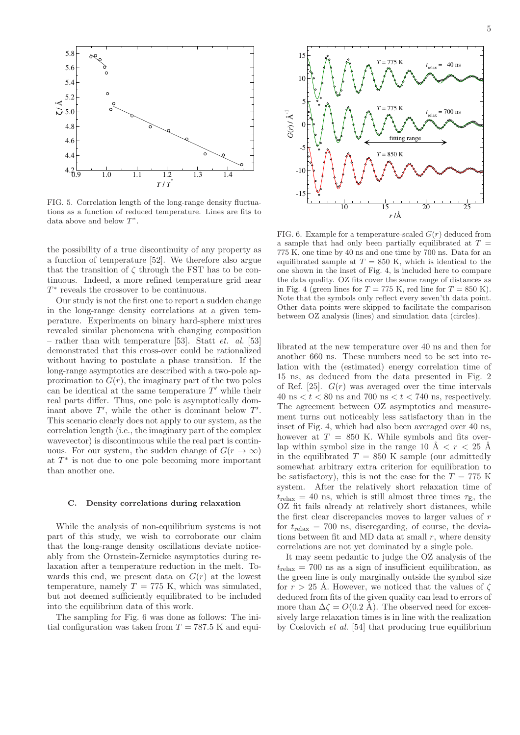

FIG. 5. Correlation length of the long-range density fluctuations as a function of reduced temperature. Lines are fits to data above and below  $T^*$ .

the possibility of a true discontinuity of any property as a function of temperature [52]. We therefore also argue that the transition of  $\zeta$  through the FST has to be continuous. Indeed, a more refined temperature grid near  $T^*$  reveals the crossover to be continuous.

Our study is not the first one to report a sudden change in the long-range density correlations at a given temperature. Experiments on binary hard-sphere mixtures revealed similar phenomena with changing composition – rather than with temperature [53]. Statt *et. al.* [53] demonstrated that this cross-over could be rationalized without having to postulate a phase transition. If the long-range asymptotics are described with a two-pole approximation to  $G(r)$ , the imaginary part of the two poles can be identical at the same temperature  $T'$  while their real parts differ. Thus, one pole is asymptotically dominant above  $T'$ , while the other is dominant below  $T'$ . This scenario clearly does not apply to our system, as the correlation length (i.e., the imaginary part of the complex wavevector) is discontinuous while the real part is continuous. For our system, the sudden change of  $G(r \to \infty)$ at  $T^*$  is not due to one pole becoming more important than another one.

#### C. Density correlations during relaxation

While the analysis of non-equilibrium systems is not part of this study, we wish to corroborate our claim that the long-range density oscillations deviate noticeably from the Ornstein-Zernicke asymptotics during relaxation after a temperature reduction in the melt. Towards this end, we present data on  $G(r)$  at the lowest temperature, namely  $T = 775$  K, which was simulated, but not deemed sufficiently equilibrated to be included into the equilibrium data of this work.

The sampling for Fig. 6 was done as follows: The initial configuration was taken from  $T = 787.5$  K and equi-



FIG. 6. Example for a temperature-scaled  $G(r)$  deduced from a sample that had only been partially equilibrated at  $T =$ 775 K, one time by 40 ns and one time by 700 ns. Data for an equilibrated sample at  $T = 850$  K, which is identical to the one shown in the inset of Fig. 4, is included here to compare the data quality. OZ fits cover the same range of distances as in Fig. 4 (green lines for  $T = 775$  K, red line for  $T = 850$  K). Note that the symbols only reflect every seven'th data point. Other data points were skipped to facilitate the comparison between OZ analysis (lines) and simulation data (circles).

librated at the new temperature over 40 ns and then for another 660 ns. These numbers need to be set into relation with the (estimated) energy correlation time of 15 ns, as deduced from the data presented in Fig. 2 of Ref. [25].  $G(r)$  was averaged over the time intervals 40 ns  $\lt t \lt 80$  ns and 700 ns  $\lt t \lt 740$  ns, respectively. The agreement between OZ asymptotics and measurement turns out noticeably less satisfactory than in the inset of Fig. 4, which had also been averaged over 40 ns, however at  $T = 850$  K. While symbols and fits overlap within symbol size in the range 10  $\AA < r < 25$  Å in the equilibrated  $T = 850$  K sample (our admittedly somewhat arbitrary extra criterion for equilibration to be satisfactory), this is not the case for the  $T = 775$  K system. After the relatively short relaxation time of  $t_{\text{relax}} = 40$  ns, which is still almost three times  $\tau_{\text{E}}$ , the OZ fit fails already at relatively short distances, while the first clear discrepancies moves to larger values of r for  $t_{\text{relax}} = 700$  ns, discregarding, of course, the deviations between fit and MD data at small  $r$ , where density correlations are not yet dominated by a single pole.

It may seem pedantic to judge the OZ analysis of the  $t_{\text{relax}} = 700$  ns as a sign of insufficient equilibration, as the green line is only marginally outside the symbol size for  $r > 25$  Å. However, we noticed that the values of  $\zeta$ deduced from fits of the given quality can lead to errors of more than  $\Delta \zeta = O(0.2 \text{ Å})$ . The observed need for excessively large relaxation times is in line with the realization by Coslovich et al. [54] that producing true equilibrium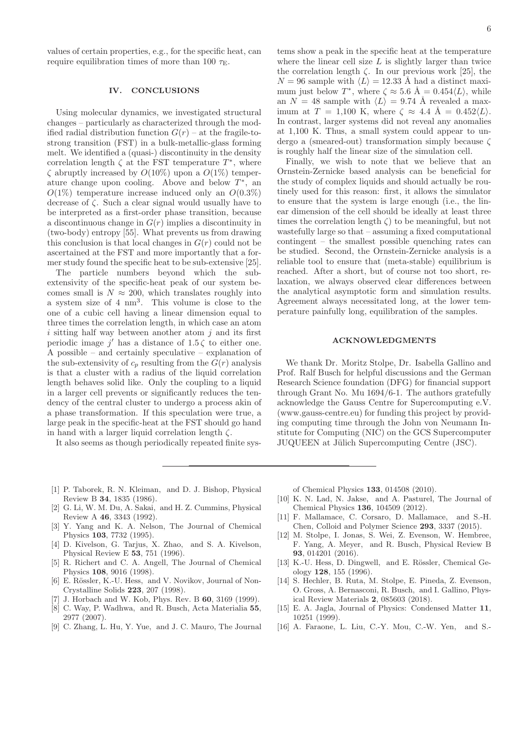values of certain properties, e.g., for the specific heat, can require equilibration times of more than 100  $\tau_{\text{E}}$ .

### IV. CONCLUSIONS

Using molecular dynamics, we investigated structural changes – particularly as characterized through the modified radial distribution function  $G(r)$  – at the fragile-tostrong transition (FST) in a bulk-metallic-glass forming melt. We identified a (quasi-) discontinuity in the density correlation length  $\zeta$  at the FST temperature  $T^*$ , where  $\zeta$  abruptly increased by  $O(10\%)$  upon a  $O(1\%)$  temperature change upon cooling. Above and below  $T^*$ , and  $O(1\%)$  temperature increase induced only an  $O(0.3\%)$ decrease of ζ. Such a clear signal would usually have to be interpreted as a first-order phase transition, because a discontinuous change in  $G(r)$  implies a discontinuity in (two-body) entropy [55]. What prevents us from drawing this conclusion is that local changes in  $G(r)$  could not be ascertained at the FST and more importantly that a former study found the specific heat to be sub-extensive [25].

The particle numbers beyond which the subextensivity of the specific-heat peak of our system becomes small is  $N \approx 200$ , which translates roughly into a system size of 4 nm<sup>3</sup> . This volume is close to the one of a cubic cell having a linear dimension equal to three times the correlation length, in which case an atom i sitting half way between another atom  $i$  and its first periodic image  $j'$  has a distance of 1.5 $\zeta$  to either one. A possible – and certainly speculative – explanation of the sub-extensivity of  $c_p$  resulting from the  $G(r)$  analysis is that a cluster with a radius of the liquid correlation length behaves solid like. Only the coupling to a liquid in a larger cell prevents or significantly reduces the tendency of the central cluster to undergo a process akin of a phase transformation. If this speculation were true, a large peak in the specific-heat at the FST should go hand in hand with a larger liquid correlation length  $\zeta$ .

It also seems as though periodically repeated finite sys-

tems show a peak in the specific heat at the temperature where the linear cell size  $L$  is slightly larger than twice the correlation length  $\zeta$ . In our previous work [25], the  $N = 96$  sample with  $\langle L \rangle = 12.33$  Å had a distinct maximum just below  $T^*$ , where  $\zeta \approx 5.6$   $\AA = 0.454 \langle L \rangle$ , while an  $N = 48$  sample with  $\langle L \rangle = 9.74$  Å revealed a maximum at  $T = 1,100$  K, where  $\zeta \approx 4.4$  Å = 0.452 $\langle L \rangle$ . In contrast, larger systems did not reveal any anomalies at 1,100 K. Thus, a small system could appear to undergo a (smeared-out) transformation simply because ζ is roughly half the linear size of the simulation cell.

Finally, we wish to note that we believe that an Ornstein-Zernicke based analysis can be beneficial for the study of complex liquids and should actually be routinely used for this reason: first, it allows the simulator to ensure that the system is large enough (i.e., the linear dimension of the cell should be ideally at least three times the correlation length  $\zeta$  to be meaningful, but not wastefully large so that – assuming a fixed computational contingent – the smallest possible quenching rates can be studied. Second, the Ornstein-Zernicke analysis is a reliable tool to ensure that (meta-stable) equilibrium is reached. After a short, but of course not too short, relaxation, we always observed clear differences between the analytical asymptotic form and simulation results. Agreement always necessitated long, at the lower temperature painfully long, equilibration of the samples.

### ACKNOWLEDGMENTS

We thank Dr. Moritz Stolpe, Dr. Isabella Gallino and Prof. Ralf Busch for helpful discussions and the German Research Science foundation (DFG) for financial support through Grant No. Mu 1694/6-1. The authors gratefully acknowledge the Gauss Centre for Supercomputing e.V. (www.gauss-centre.eu) for funding this project by providing computing time through the John von Neumann Institute for Computing (NIC) on the GCS Supercomputer JUQUEEN at Jülich Supercomputing Centre (JSC).

- [1] P. Taborek, R. N. Kleiman, and D. J. Bishop, Physical Review B 34, 1835 (1986).
- [2] G. Li, W. M. Du, A. Sakai, and H. Z. Cummins, Physical Review A 46, 3343 (1992).
- [3] Y. Yang and K. A. Nelson, The Journal of Chemical Physics 103, 7732 (1995).
- [4] D. Kivelson, G. Tarjus, X. Zhao, and S. A. Kivelson, Physical Review E 53, 751 (1996).
- [5] R. Richert and C. A. Angell, The Journal of Chemical Physics 108, 9016 (1998).
- [6] E. Rössler, K.-U. Hess, and V. Novikov, Journal of Non-Crystalline Solids 223, 207 (1998).
- J. Horbach and W. Kob, Phys. Rev. B 60, 3169 (1999).
- [8] C. Way, P. Wadhwa, and R. Busch, Acta Materialia 55, 2977 (2007).
- [9] C. Zhang, L. Hu, Y. Yue, and J. C. Mauro, The Journal

of Chemical Physics 133, 014508 (2010).

- [10] K. N. Lad, N. Jakse, and A. Pasturel, The Journal of Chemical Physics 136, 104509 (2012).
- [11] F. Mallamace, C. Corsaro, D. Mallamace, and S.-H. Chen, Colloid and Polymer Science 293, 3337 (2015).
- [12] M. Stolpe, I. Jonas, S. Wei, Z. Evenson, W. Hembree, F. Yang, A. Meyer, and R. Busch, Physical Review B 93, 014201 (2016).
- [13] K.-U. Hess, D. Dingwell, and E. Rössler, Chemical Geology 128, 155 (1996).
- [14] S. Hechler, B. Ruta, M. Stolpe, E. Pineda, Z. Evenson, O. Gross, A. Bernasconi, R. Busch, and I. Gallino, Physical Review Materials 2, 085603 (2018).
- [15] E. A. Jagla, Journal of Physics: Condensed Matter 11, 10251 (1999).
- [16] A. Faraone, L. Liu, C.-Y. Mou, C.-W. Yen, and S.-